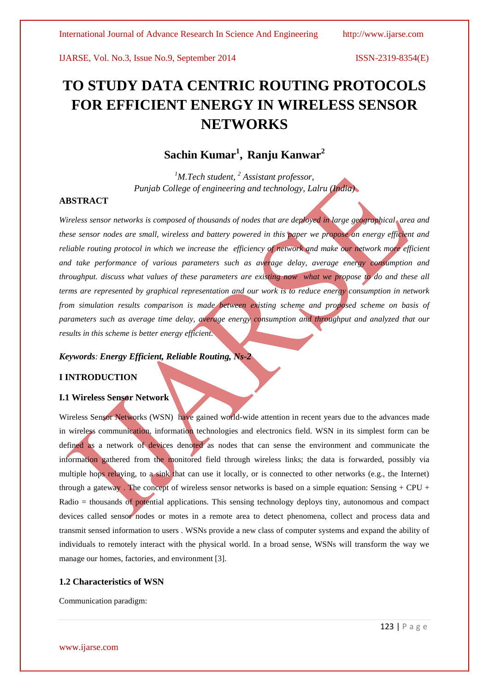# **TO STUDY DATA CENTRIC ROUTING PROTOCOLS FOR EFFICIENT ENERGY IN WIRELESS SENSOR NETWORKS**

## **Sachin Kumar<sup>1</sup> , Ranju Kanwar<sup>2</sup>**

*<sup>1</sup>M.Tech student, <sup>2</sup> Assistant professor, Punjab College of engineering and technology, Lalru (India)*

### **ABSTRACT**

*Wireless sensor networks is composed of thousands of nodes that are deployed in large geographical area and these sensor nodes are small, wireless and battery powered in this paper we propose an energy efficient and reliable routing protocol in which we increase the efficiency of network and make our network more efficient and take performance of various parameters such as average delay, average energy consumption and throughput. discuss what values of these parameters are existing now what we propose to do and these all terms are represented by graphical representation and our work is to reduce energy consumption in network from simulation results comparison is made between existing scheme and proposed scheme on basis of parameters such as average time delay, average energy consumption and throughput and analyzed that our results in this scheme is better energy efficient.*

### *Keywords: Energy Efficient, Reliable Routing, Ns-2*

### **I INTRODUCTION**

### **I.1 Wireless Sensor Network**

Wireless Sensor Networks (WSN) have gained world-wide attention in recent years due to the advances made in wireless communication, information technologies and electronics field. WSN in its simplest form can be defined as a network of devices denoted as nodes that can sense the environment and communicate the information gathered from the monitored field through wireless links; the data is forwarded, possibly via multiple hops relaying, to a sink that can use it locally, or is connected to other networks (e.g., the Internet) through a gateway. The concept of wireless sensor networks is based on a simple equation: Sensing + CPU + Radio = thousands of potential applications. This sensing technology deploys tiny, autonomous and compact devices called sensor nodes or motes in a remote area to detect phenomena, collect and process data and transmit sensed information to users . WSNs provide a new class of computer systems and expand the ability of individuals to remotely interact with the physical world. In a broad sense, WSNs will transform the way we manage our homes, factories, and environment [3].

### **1.2 Characteristics of WSN**

Communication paradigm: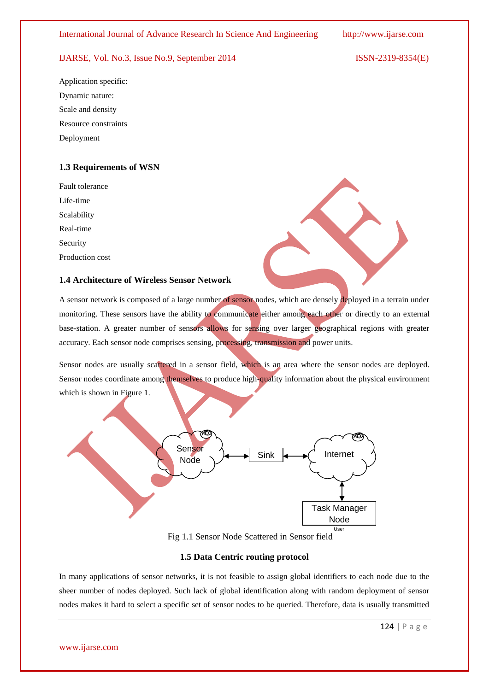Application specific: Dynamic nature: Scale and density Resource constraints Deployment

### **1.3 Requirements of WSN**

Fault tolerance Life-time Scalability Real-time Security Production cost

### **1.4 Architecture of Wireless Sensor Network**

A sensor network is composed of a large number of sensor nodes, which are densely deployed in a terrain under monitoring. These sensors have the ability to communicate either among each other or directly to an external base-station. A greater number of sensors allows for sensing over larger geographical regions with greater accuracy. Each sensor node comprises sensing, processing, transmission and power units.

Sensor nodes are usually scattered in a sensor field, which is an area where the sensor nodes are deployed. Sensor nodes coordinate among themselves to produce high-quality information about the physical environment which is shown in Figure 1.



Fig 1.1 Sensor Node Scattered in Sensor field

### **1.5 Data Centric routing protocol**

In many applications of sensor networks, it is not feasible to assign global identifiers to each node due to the sheer number of nodes deployed. Such lack of global identification along with random deployment of sensor nodes makes it hard to select a specific set of sensor nodes to be queried. Therefore, data is usually transmitted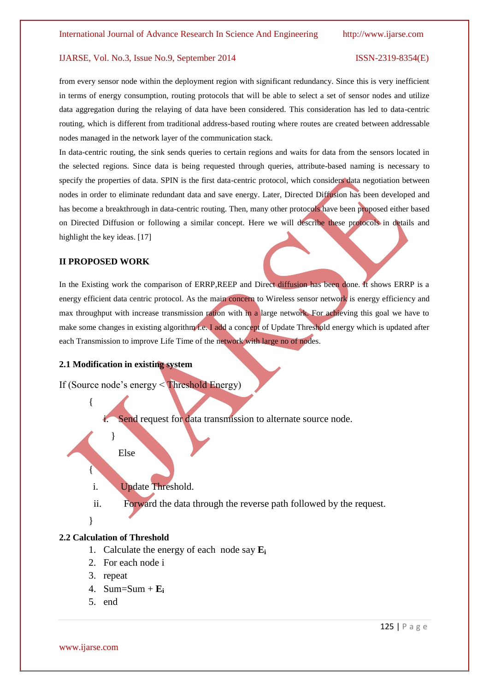from every sensor node within the deployment region with significant redundancy. Since this is very inefficient in terms of energy consumption, routing protocols that will be able to select a set of sensor nodes and utilize data aggregation during the relaying of data have been considered. This consideration has led to data-centric routing, which is different from traditional address-based routing where routes are created between addressable nodes managed in the network layer of the communication stack.

In data-centric routing, the sink sends queries to certain regions and waits for data from the sensors located in the selected regions. Since data is being requested through queries, attribute-based naming is necessary to specify the properties of data. SPIN is the first data-centric protocol, which considers data negotiation between nodes in order to eliminate redundant data and save energy. Later, Directed Diffusion has been developed and has become a breakthrough in data-centric routing. Then, many other protocols have been proposed either based on Directed Diffusion or following a similar concept. Here we will describe these protocols in details and highlight the key ideas. [17]

### **II PROPOSED WORK**

In the Existing work the comparison of ERRP,REEP and Direct diffusion has been done. It shows ERRP is a energy efficient data centric protocol. As the main concern to Wireless sensor network is energy efficiency and max throughput with increase transmission ration with in a large network. For achieving this goal we have to make some changes in existing algorithm i.e. I add a concept of Update Threshold energy which is updated after each Transmission to improve Life Time of the network with large no of nodes.

### **2.1 Modification in existing system**

If (Source node"s energy < Threshold Energy)

Send request for data transmission to alternate source node.

Else

}

i. Update Threshold.

ii. Forward the data through the reverse path followed by the request.

}

{

{

### **2.2 Calculation of Threshold**

- 1. Calculate the energy of each node say **E<sup>i</sup>**
- 2. For each node i
- 3. repeat
- 4. Sum=Sum + **E<sup>i</sup>**
- 5. end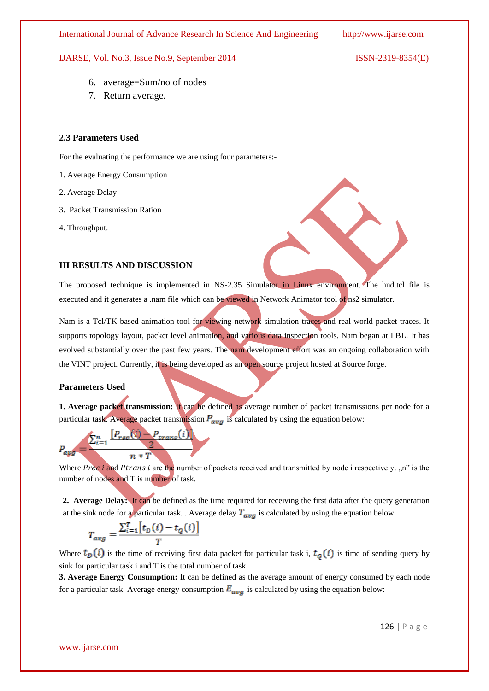IJARSE, Vol. No.3, Issue No.9, September 2014

$$
ISSN-2319-8354(E)
$$

- 6. average=Sum/no of nodes
- 7. Return average.

### **2.3 Parameters Used**

For the evaluating the performance we are using four parameters:-

- 1. Average Energy Consumption
- 2. Average Delay
- 3. Packet Transmission Ration
- 4. Throughput.

### **III RESULTS AND DISCUSSION**

The proposed technique is implemented in NS-2.35 Simulator in Linux environment. The hnd.tcl file is executed and it generates a .nam file which can be viewed in Network Animator tool of ns2 simulator.

Nam is a Tcl/TK based animation tool for viewing network simulation traces and real world packet traces. It supports topology layout, packet level animation, and various data inspection tools. Nam began at LBL. It has evolved substantially over the past few years. The nam development effort was an ongoing collaboration with the VINT project. Currently, it is being developed as an open source project hosted a[t Source forge.](http://http/sourceforge.net/projects/nsnam/)

### **Parameters Used**

**1. Average packet transmission:** It can be defined as average number of packet transmissions per node for a particular task. Average packet transmission  $P_{\alpha\nu\sigma}$  is calculated by using the equation below:



Where Prec i and Ptrans i are the number of packets received and transmitted by node i respectively. "n" is the number of nodes and T is number of task.

**2. Average Delay:** It can be defined as the time required for receiving the first data after the query generation at the sink node for a particular task. . Average delay  $T_{avg}$  is calculated by using the equation below:

$$
T_{avg} = \frac{\sum_{i=1}^{T} \left[t_D(i) - t_Q(i)\right]}{T}
$$

Where  $t_D(i)$  is the time of receiving first data packet for particular task i,  $t_O(i)$  is time of sending query by sink for particular task i and T is the total number of task.

**3. Average Energy Consumption:** It can be defined as the average amount of energy consumed by each node for a particular task. Average energy consumption  $E_{avg}$  is calculated by using the equation below: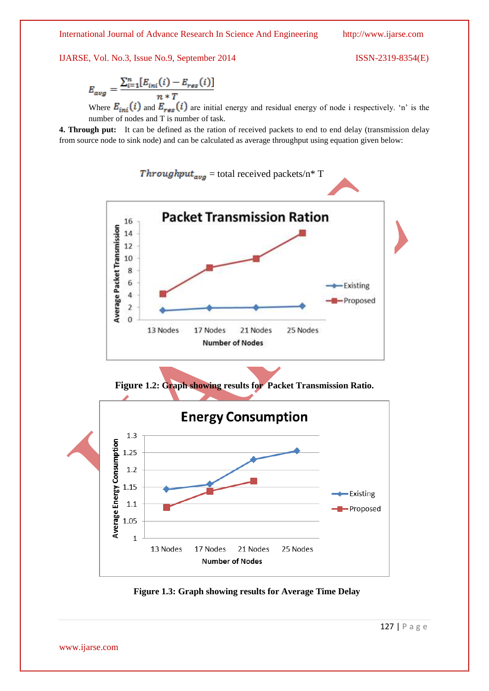$$
E_{avg} = \frac{\sum_{i=1}^{n} [E_{ini}(i) - E_{res}(i)]}{n * T}
$$

Where  $E_{ini}(i)$  and  $E_{res}(i)$  are initial energy and residual energy of node i respectively. 'n' is the number of nodes and T is number of task.

**4. Through put:** It can be defined as the ration of received packets to end to end delay (transmission delay from source node to sink node) and can be calculated as average throughput using equation given below:



 **Figure 1.3: Graph showing results for Average Time Delay**

www.ijarse.com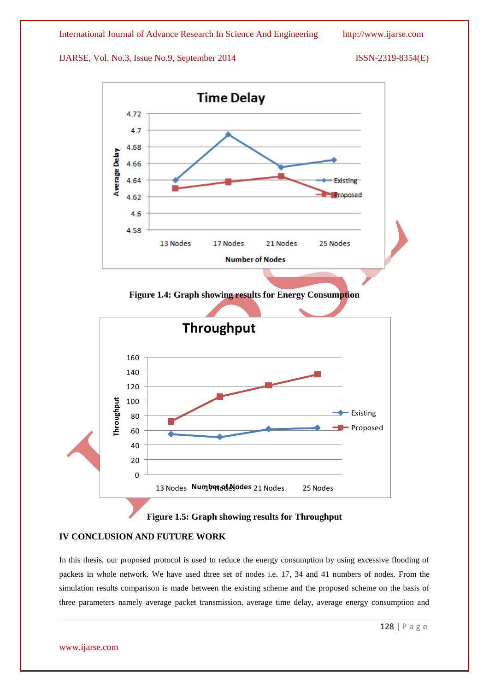

**Figure 1.5: Graph showing results for Throughput**

### **IV CONCLUSION AND FUTURE WORK**

In this thesis, our proposed protocol is used to reduce the energy consumption by using excessive flooding of packets in whole network. We have used three set of nodes i.e. 17, 34 and 41 numbers of nodes. From the simulation results comparison is made between the existing scheme and the proposed scheme on the basis of three parameters namely average packet transmission, average time delay, average energy consumption and